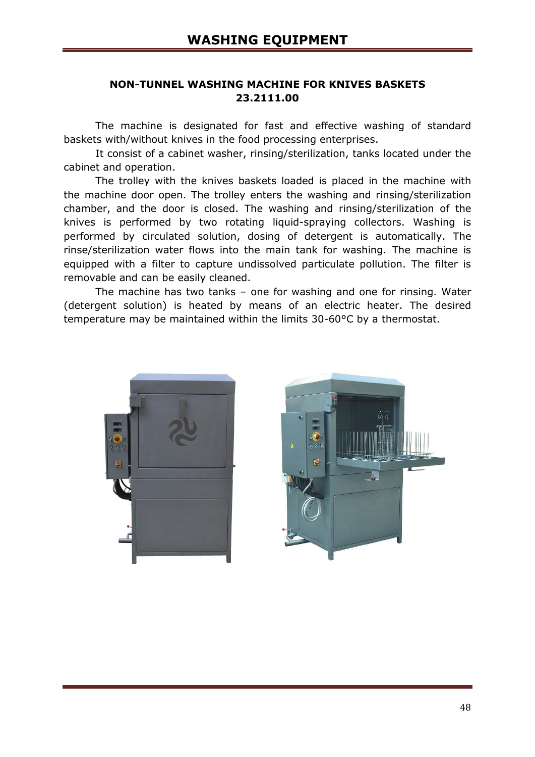## **NON-TUNNEL WASHING MACHINE FOR KNIVES BASKETS 23.2111.00**

The machine is designated for fast and effective washing of standard baskets with/without knives in the food processing enterprises.

It consist of a cabinet washer, rinsing/sterilization, tanks located under the cabinet and operation.

The trolley with the knives baskets loaded is placed in the machine with the machine door open. The trolley enters the washing and rinsing/sterilization chamber, and the door is closed. The washing and rinsing/sterilization of the knives is performed by two rotating liquid-spraying collectors. Washing is performed by circulated solution, dosing of detergent is automatically. The rinse/sterilization water flows into the main tank for washing. The machine is equipped with a filter to capture undissolved particulate pollution. The filter is removable and can be easily cleaned.

The machine has two tanks – one for washing and one for rinsing. Water (detergent solution) is heated by means of an electric heater. The desired temperature may be maintained within the limits 30-60°С by a thermostat.



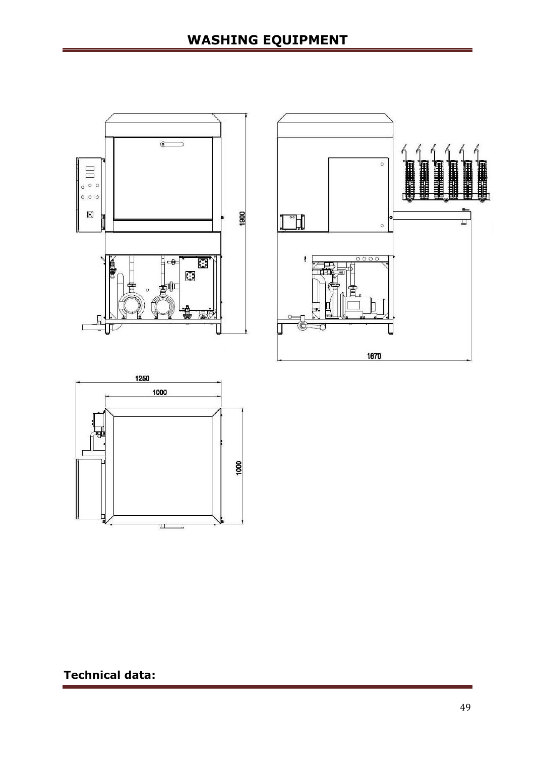





**Technical data:**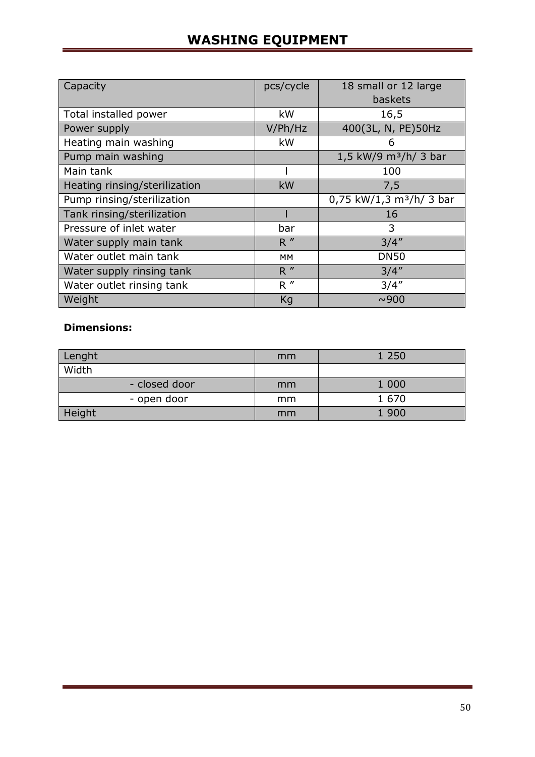## **WASHING EQUIPMENT**

| Capacity                      | pcs/cycle | 18 small or 12 large                 |  |
|-------------------------------|-----------|--------------------------------------|--|
|                               |           | baskets                              |  |
| Total installed power         | kW        | 16,5                                 |  |
| Power supply                  | V/Ph/Hz   | 400(3L, N, PE)50Hz                   |  |
| Heating main washing          | kW        | 6                                    |  |
| Pump main washing             |           | 1,5 kW/9 m <sup>3</sup> /h/ 3 bar    |  |
| Main tank                     |           | 100                                  |  |
| Heating rinsing/sterilization | kW        | 7,5                                  |  |
| Pump rinsing/sterilization    |           | 0,75 kW/1,3 m <sup>3</sup> /h/ 3 bar |  |
| Tank rinsing/sterilization    |           | 16                                   |  |
| Pressure of inlet water       | bar       | 3                                    |  |
| Water supply main tank        | R''       | 3/4''                                |  |
| Water outlet main tank        | MM        | <b>DN50</b>                          |  |
| Water supply rinsing tank     | R''       | 3/4''                                |  |
| Water outlet rinsing tank     | R''       | 3/4''                                |  |
| Weight                        | Kg        | ~0.900                               |  |

## **Dimensions:**

| Lenght        | mm | 1 2 5 0 |
|---------------|----|---------|
| Width         |    |         |
| - closed door | mm | 1 0 0 0 |
| - open door   | mm | 1 670   |
| Height        | mm | 1 900   |